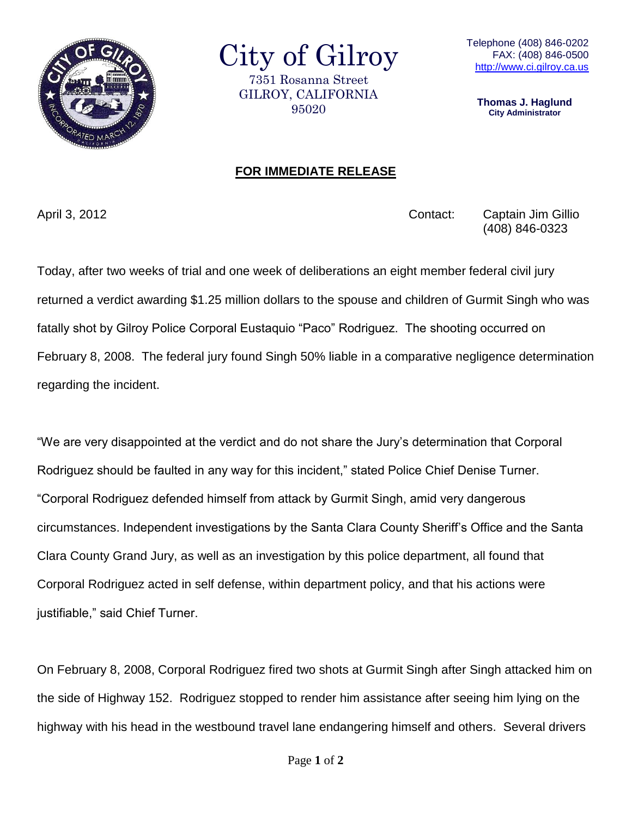

City of Gilroy 7351 Rosanna Street GILROY, CALIFORNIA 95020

**Thomas J. Haglund City Administrator**

## **FOR IMMEDIATE RELEASE**

April 3, 2012 Contact: Captain Jim Gillio (408) 846-0323

Today, after two weeks of trial and one week of deliberations an eight member federal civil jury returned a verdict awarding \$1.25 million dollars to the spouse and children of Gurmit Singh who was fatally shot by Gilroy Police Corporal Eustaquio "Paco" Rodriguez. The shooting occurred on February 8, 2008. The federal jury found Singh 50% liable in a comparative negligence determination regarding the incident.

"We are very disappointed at the verdict and do not share the Jury's determination that Corporal Rodriguez should be faulted in any way for this incident," stated Police Chief Denise Turner. "Corporal Rodriguez defended himself from attack by Gurmit Singh, amid very dangerous circumstances. Independent investigations by the Santa Clara County Sheriff's Office and the Santa Clara County Grand Jury, as well as an investigation by this police department, all found that Corporal Rodriguez acted in self defense, within department policy, and that his actions were justifiable," said Chief Turner.

On February 8, 2008, Corporal Rodriguez fired two shots at Gurmit Singh after Singh attacked him on the side of Highway 152. Rodriguez stopped to render him assistance after seeing him lying on the highway with his head in the westbound travel lane endangering himself and others. Several drivers